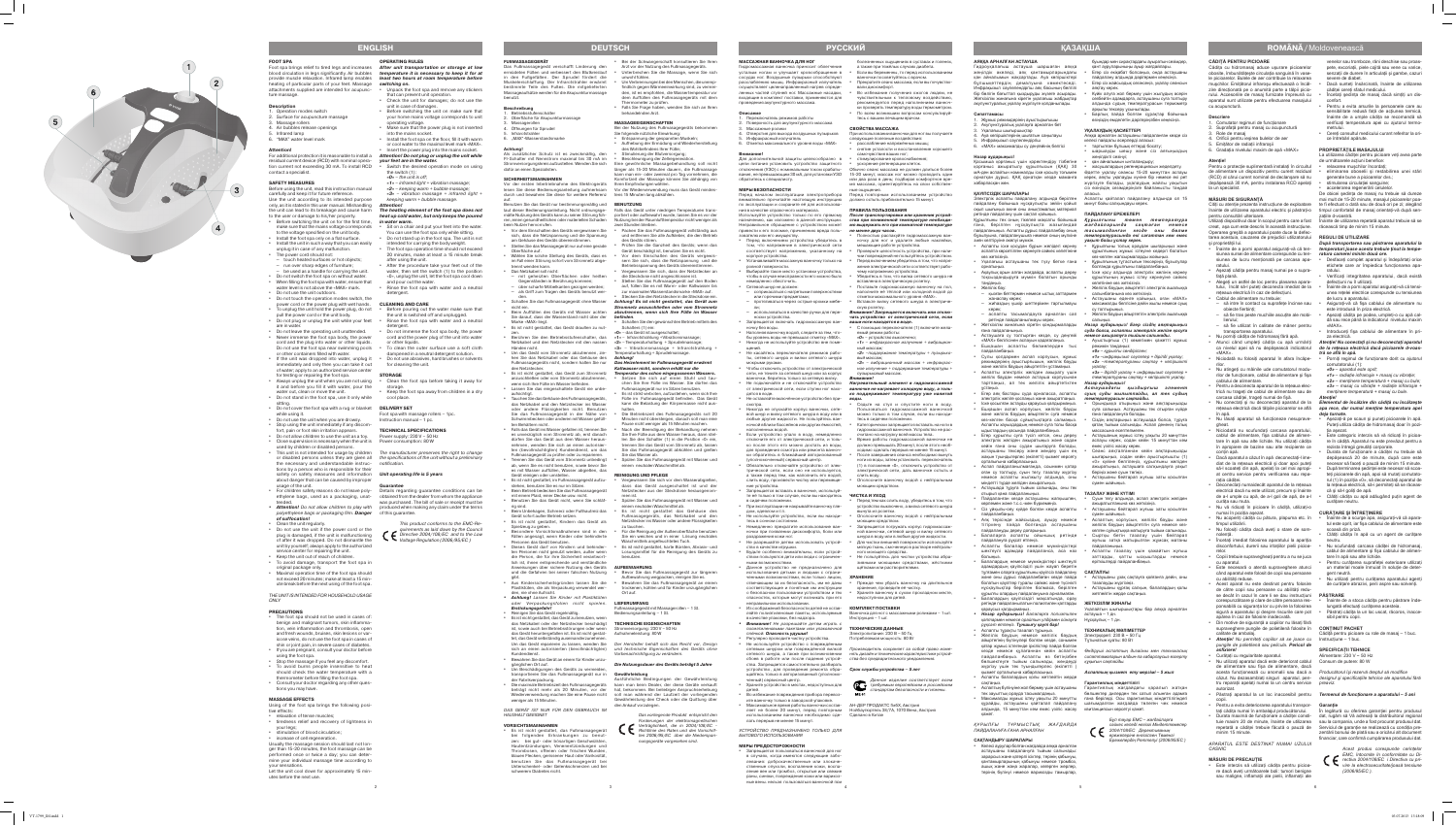## **CĂDIŢĂ PENTRU PICIOARE**

Cădita cu hidromasai aduce usurare picioarelor obosite, îmbunătăţeşte circulaţia sanguină în vase le picioarelor. Bulele de aer contribuie la relaxarea muşchilor. Emiţătorul infraroşu efectuează o încăl zire direcționată pe o anumită parte a tălpii piciorului. Accesoriile de masaj furnizate împreună cu aparatul sunt utilizate pentru efectuarea masajului cu acupunctură.

## **Descriere**

înainte de utilizarea aparatului electric și păstrati-o pentru consultări ulterioare.

Utilizați dispozitivul doar în scopul pentru care a fost linainte de utilizarea repetată aparatul trebuie să se creat, aşa cum este descris în această instrucţiune. răcească timp de minim 15 minute. Operarea greşită a aparatului poate duce la defec tarea acestuia, cauzarea de prejudicii utilizatorului<br>și proprietății lui.

## **Atenţie!**

Pentru o protecție suplimentară instalați în circuitul de alimentare un dispozitiv pentru curent rezidual (RCD) al cărui curent nominal de declanşare să nu depășească 30 mA, pentru instalarea RCD apelati la un specialist

### **MĂSURI DE SIGURANŢĂ**

- şi proprietății lui.<br>• Înainte de a porni aparatul asigurați-vă că tensiunea sursei de alimentare corespunde cu ten - *ratura camerei minim două ore* **.** ratului.
- Aşezaţi cădiţa pentru masaj numai pe o supra fată plană.
- Alegeţi un astfel de loc pentru plasarea apara tului, încât să-l puteți deconecta imediat de la rețeaua electrică în caz de defectiuni.
- Cablul de alimentare nu trebuie:
- să intre în contact cu suprafeţe încinse sau obiecte fierbinti:
- să fie tras peste muchiile ascuţite ale mobi lierului;
- să fie utilizat în calitate de mâner pentru transportarea aparatului.<br>Nu porniti cădita de hidromasai fără apă
- Nu porniţi cădiţa de hidromasaj fără apă. Atunci când umpleţi cădiţa cu apă urmăriţi *Atenţie! Nu conectaţi şi nu deconectaţi aparatul*
- «MAX». • Niciodată nu folosiţi aparatul în afara încăpe rilor.
- Nu atingeţi cu mâinile ude comutatorul modu rilor de functionare, cablul de alimentare și fișa cablului de alimentare.
- Pentru a deconecta aparatul de la reţeaua elec trică nu trageţi de cablul de alimentare sau de carcasa căditei, trageți numai de fisă.
- **•** Nu conectați și nu deconectați aparatul de la *Elementul de încălzire din cădiță nu încălzește* în apă.
- Nu lăsați aparatul să funcționeze nesupravegheat.
- Niciodată nu scufundaţi carcasa aparatului, cablul de alimentare, fişa cablului de alimen tare în apă sau alte lichide. Nu utilizaţi cădiţa în apropiere de bazine sau alte recipiente ce contin apă.
- Dacă aparatul a căzut în apă deconectaţi-l ime diat de la reteaua electrică și doar apoi puteti să-l scoateţi din apă, apelaţi la cel mai apropi at centru service pentru verificarea sau repa ratia căditei.
- Deconectaţi numaidecât aparatul de la reţeaua electrică dacă nu este utilizat, precum şi înainte de a-l umple cu apă, de a-l goli de apă, de a-l curăta sau muta.
- Nu vă ridicati în picioare în cădită, utilizati-o numai în pozitia așezat.
- Nu acoperiti cădita cu pătura, plapuma etc. în timpul utilizării.
- Nu folosiţi cădiţa dacă aveţi o stare de som nolentă. • Încetaţi imediat folosirea aparatului la apariţia
- disconfortului, durerii sau iritaţiilor pielii picioa relor. • Copiii trebuie supravegheaţi pentru a nu se juca
- cu aparatul. • Este necesară o atentă supraveghere atunci
- când aparatul este folosit de copii sau persoane cu abilităţi reduse. • Acest aparat nu este destinat pentru folosire
- de către copii sau persoane cu abilități reduse decât în cazul în care li se dau instrucţiuni **PĂSTRARE** ponsabilă cu siguranţa lor cu privire la folosirea sigură a aparatului şi despre riscurile care pot apărea în caz de folosire inadecvată.
- Din motive de siguranță a copiilor nu lăsati fără supraveghere pungile de polietilenă folosite în **CONŢINUT PACHET** calitate de ambalaj.
- *• Atenţie! Nu permiteţi copiilor să se joace cu*  Instrucţiune 1 buc. *pungile de polietilenă sau pelicula. Pericol de asfixiere!*<br>Curățați cu regularitate aparatul.
- 
- Curăţaţi cu regularitate aparatul. Nu utilizaţi aparatul dacă este deteriorat cablul Consum de putere: 80 W de alimentare sau fişa de alimentare, dacă acesta funcţionează cu anomalii sau dacă a *Producătorul îşi rezervă dreptul să modifice*  căzut. Nu dezasamblaţi singuri aparatul, pen - *designul şi specificaţiile tehnice ale aparatului fără*  tru reparaţii apelaţi numai la un centru service *preaviz.* autorizat.
- copii.
- Pentru a evita deteriorarea aparatului transpor **Garanţie** taţi cădiţa numai în ambalajul producătorului.
- Durata maximă de funcționare a cădiței consti- dat, rugăm să Vă adresați la distribuitorul regional minim 15 minute.
- Dacă sunteți însărcinată, înainte de utilizarea căditei cereți sfatul medicului.
- Încetaţi şedinţa de masaj dacă simţiţi un dis confort.
- Pentru a evita arsurile la persoanele care au sensibilitate redusă față de acțiunea termică. înainte de a umple cădiţa se recomandă să verificaţi temperatura apei cu ajutorul termo -
- metrului. • Cereţi consultul medicului curant referitor la ori ce întrebări apărute.
- **PROPRIETĂŢILE MASAJULUI**

La utilizarea căditei pentru picioare veti avea parte

- de următoarele actiuni benefice • relaxarea muschilor încordați
- eliminarea oboselii şi restabilirea unei stări generale bune a picioarelor dvs.;
- stimularea circulatiei sanguine; accelerarea regenerării celulelo

Citiți cu atenție prezenta instrucțiune de exploatare be fi efectuat o dată sau de două ori pe zi; alegând De obicei sedinta de masaj nu trebuie să dureze mai mult de 15-20 minute, masajul picioarelor poa timpul confortabil de masaj orientați-vă după senzatiile d-voastră.

- siunea de lucru menționată pe carcasa apa- Desfaceți complet aparatul și îndepărtați orice etichete care ar împiedica funcționarea aparatului.
	- Verificati integritatea aparatului, dacă există defectiuni nu îl utilizati.
	- Înainte de a porni aparatul asiguraţi-vă că tensi unea retelei electrice corespunde cu tensiunea de lucru a aparatului.
	- Asigurati-vă că fișa cablului de alimentare nu este introdusă în priza electrică.
	- Aşezaţi cădiţa pe podea, umpleţi-o cu apă cal dă sau rece până la indicatorul nivelului maxim «MAX».
	- Introduceţi fişa cablului de alimentare în pri za electrică.

- Înainte de a scurge apa, asiguraţi-vă că apara tul este oprit, iar fişa cablului de alimentare este scoasă din priză.
- Clătiti cădita în apă cu un agent de curătare neutru.
- Nu scufundați carcasa cădiței de hidromasaj, cablul de alimentare şi fişa cablului de alimen -
- tare în apă sau alte lichide. Pentru curătarea suprafeței exterioare utilizați un material moale înmuiat în soluţie de deter -
- gent neutră. lu utilizați pentru curățarea aparatului agenți de curățare abrazivi, perii aspre sau solvenți.

## ca nivelul apei să nu depăşească indicatorul *de la reţeaua electrică dacă picioarele d-voas tră se află în apă.*

*APARATUL ESTE DESTINAT NUMAI UZULUI CASNIC*

## **MĂSURI DE PRECAUŢIE**

## reţeaua electrică dacă tălpile picioarelor se află *apa rece, dar numai menţine temperatura apei Atenţie! deja turnate.*

- Așezați-ă pe scaun și puneți picioarele în apă. Puteţi utiliza cădiţa de hidromasaj doar în pozi tia asezat.
- Este categoric interzis să vă ridicaţi în picioa re în cădiţă. Aparatul nu este prevăzut pentru a rezista întregii greutăţi corporale.
- Durata de functionare a căditei nu trebuie să depăşească 20 de minute, după care este necesar să faceti o pauză de minim 15 minute.
- După terminarea şedinţei este necesar să scoa teți picioarele din apă, apoi să mutați comutatorul (1) în pozitia «0», să deconectati aparatul de la reţeaua electrică, să-i permiteţi să se răceas că şi să-l goliţi de apă.
- Clătiţi cădiţa cu apă adăugând puţin agent de curățare neutru

• Este interzis să utilizaţi cădiţa pentru picioa re dacă aveți următoarele boli: tumori benigne sau maligne, inflamaţii ale pielii, inflamaţii ale

venelor sau tromboze, răni deschise sau proas pete, excoriații, piele cojită sau vene cu varice, senzații de durere în articulații și gambe, cazuri severe de diabet.

Ауа көпіршіктерінің шығатын саңылауы Инфрақызыл сәулелендіргіш 6. «MAX» максималды су деңгейінің белгісі

## **REGULI DE UTILIZARE**

*După transportarea sau păstrarea aparatului la temperaturi joase acesta trebuie ţinut la tempe -*

- corespunzătoare şi clare de către persoana res • Înainte de a stoca cădiţa pentru păstrare înde lungată efectuaţi curăţarea acesteia.
	- Păstraţi cădiţa la un loc uscat, răcoros, inacce sibil pentru copii.

Cădiță pentru picioare cu role de masaj - 1 buc.

# • Păstraţi aparatul la un loc inaccesibil pentru *Termenul de funcţionare a aparatului – 5 ani*

*рұқсат етпеңіз. Тұншығу қаупі бар!<br>Аспапты тұрақты тазалап тұрыңыз.* • Желілік баудың немесе желілік баудың айыртегінің бүлінулері болған кезде, сонымен қатар жұмыс істегенде іркілістер пайда болған кезде немесе құлағаннан кейін аспапты

жүргізу үшін тек туындыгерлес (өкілетті қызмет орталығына хабарласыңыз. • Аспапты балалардың қолы жетпейтін жерде

> tuie maxim 20 de minute, înainte de utilizarea sau la compania, unde a fost procurat produsul dat. repetată a cădiței trebuie făcută o pauză de Serviciul de garanție se realizează cu condiția pre-În legătură cu oferirea garanţiei pentru produsul zentării bonului de plată sau a oricărui alt document financiar, care confirmă cumpărarea produsului dat.



- Porniţi regimul de funcţionare dorit cu ajutorul comutatorului (1):
- *«0» aparatul este oprit; «1» – radiaţie infraroşie + masaj cu vibraţie;*
- *«2» menţinere temperatură + masaj cu bule; «3» – masaj cu vibraţie + radiaţie infraroşie + menţinere temperatură + masaj cu bule.*

## **CURĂŢARE ŞI ÎNTREŢINERE**

### **SPECIFICAŢII TEHNICE**

Alimentare:  $230$  V ~ 50 Hz

*2004/108/ЕС Дерективаның елекеттік аталаның елекеттік* **аталандан аталандан аталандан аталандан аталандан аталандан аталандан аталандан аталандан аталандан аталандан аталандан аталандан аталандан аталандан аталандан атал** *ережелерiне енгiзiлген Төменгi Ережелердiң Реттелуi (2006/95/ЕС )*

> *Acest produs corespunde cerinţelor EMC, întocmite în conformitate cu Di rectiva 2004/108/ЕС i Directiva cu pri vire la electrosecuritate/joasă tensiune (2006/95/ЕС ).*

- Переключатель режимов работы Поверхность для акупунктурного массажа
- Массажные ролики
- Отверстия для выхода воздушных пузырьков Инфракрасный излучатель
- 6. Отметка максимального уровня воды «MAX»

**АЯҚҚА АРНАЛҒАН АСТАУША**

Гидроуқалағыш астауша шаршаған аяққа жеңілдік әкеледі, аяқ қантамырларындағы қан айналымын жақсартады. Ауа көпіршіктері бұлшықеттердің демалуына көмектеседі. фрақызыл сәулелендіргіш аяқ басының белгіл бір бөлігін бағыттап қыздыруды жүзеге асырады. Жеткізілім жинағына кіретін уқалағыш жабдықтар акупунктуралық уқалау жүргізуге қолданылады.

Жұмыс режимдерінің ауыстырығышь Акупунктуралық уқалауға арналған бет

**Сипаттамасы**

**Назар аударыңыз!**

Қосымша қорғаныс үшін қоректендіру тізбегіне қорғаныс ажыратылу құрылғысын (ҚАҚ) 30 мА-ден аспайтын номиналды іске қосылу тоғымен орнатқан дұрыс. ҚАҚ орнатқан кезде маманға

хабарласқан жөн.

**ҚАУІПСІЗДІК ШАРАЛАРЫ**

Электрлік аспапты пайдалану алдында берілген пайдалану бойынша нұсқаулықты зейіін қойып оқып шығыңыз әжне оны анықтамалық материал ретінде пайдалану үшін сақтап қойыңыз. Құрылғыны тек оның тікелей мақсаты бойынша ғана, берілген нұсқаулықта жазығандай

бұзылуына, пайдаланушыға немесе оның мүлкіне зиян келтіруіне әкелуі мүмкін.<br>• Аспапты іске косудан бұрын желідегі кернеу аспапта көрсетілген кернеуге сәйкес келетініне

көз жеткізіңіз.

• Уқалағыш астаушаны тек түзу бетке ғана

орнатыңыз.

• Ақаулық орын алған жағдайда, аспапты дереу тоқсыздандыруға мүмкін болатын орынды

таңдаңыз. • Желілік бау:

– қызған беттермен немесе ыстық заттармен

жанаспау керек;

– жиһаздың үшкір шеттерімен тартылмауы

керек;

– аспапты тасымалдауға арналған сап ретінде пайдаланылмауы керек. • Жеткізілім жинағына кіретін қондырмаларды

ғана пайдаланыңыз.

• Астаушаға су толтырған кезде, су деңгейі «MAX» белігісінен аспауын қадағалаңыз. • Ешқашан аспапты бөлмелерден тыс

пайдаланбаңыз.

• Сулы қолдармен аспап корпусын, жұмыс режимдерінің ауыстырғышын, желілік бауды және желілік баудың айыртетігін ұстамаңыз. • Аспапты электрлік желіден ажырату үшін желілк баудан немесе астауша корпусынан тартпаңыз, ал тек желілік айыртетіктен

ұстаңыз.

рещается пользоваться ванночкой для но в случаях, когда имеются следующие заболевания: доброкачественные или злокаче ственные опухоли, воспаление кожи, воспаление вен или тромбоз, открытые или свежие раны, синяки, повреждения кожи или варико ные вены, нельзя пользоваться ванночкой при

• Егер аяқ бастары суда орналасса, аспапты электрлік желіге қоспаңыз және ажыратпаңыз. • Іске қосылған астауды қараусыз қалдырмаңыз. • Ешқашан аспап корпусын, желілік бауды және желілік баудың айыртеігін суға немесе кез-келген басқа сұйықтықтарға салмаңыз. Аспапты хауыздардың немесе суға толы басқа ыдыстардың қасында пайдаланбаңыз. • Егер құрылғы суға түсіп кетсе, оны дереу электрлік желіден ажыратыңыз және содан кейін ғана оны судан шығаруға болады, астаушаны тексеру және жөндеу үшін ең жақын туындыгерлес (өкілетті) қызмет көрсету

орталығына хабарласыңыз.

стимулирование кровоснабжения • ускорение регенерации клеток. Обычно сеанс массажа не должен длиться более 15-20 минут, массаж ног можно проводить один или два раза в день; подбирая комфортное вре мя массажа, ориентируйтесь на свои собствен -

• Аспап пайдаланылмағанда, соынмен қатар оған су толтыру, суын төгу, тазалау жүргізу немесе аспапты жылжыту алдында, оны міндетті түрде желіден ажыратыңыз. • Астаушада тұруға тыйым салынады, оны тек

отырып қана пайдаланыңыз.

• Пайдаланған кезде астаушаны жапқышпен, көрпемен және т.с.с.-мен бүркемеңіз. • Сіз ұйқылы-ояу күйде болған кезде аспапты

пайдаланбаңыз.

• Аяқ терісінде жайсыздық, ауыру немесе тітіркену пайда болғанда астаушаны

пайдалануды дереу доғарыңыз.

• Балаларға аспапты ойыншық ретінде

емый режим работы: «**0»** – устройство выключено

пайдалануға рұқсат етпеңіз.

• Аспапты балалар немесе мүмкіндіктері шектеулі адамдар пайдаланса, аса наз

болыңыз.

пайдаланыңыз. Аспапты дұрыс пайдаланбау оның *тасымалданған кезде оны бөлме*

• Балалардың немесе мүмкіндіктері шектеулі адамдардың қауіпсіздігі үшін жауап беретін тұлғамен оларға құрылғыны қауіпсіз пайдалану және оны дұрыс пайдаланбаған кезде пайда болатын қауіптер туралы сәйкес және түсінікті нұсқаулықтар берілген болмаса, берілген құрылғы олардың пайдалануына арналмаған. • Балалардың қауіпсіздігі мақсатында, орау ретінде пайдаланылатын полиэтилен қаптарды

қараусыз қалдырмаңыз.

сақтаңыз.

• Аспаптың бүлінуіне жол бермеу үшін астаушаны тек зауыттық орауда тасымалдаңыз.

қажет.

*ҚҰРЫЛҒЫ ТҰРМЫСТЫҚ ЖАҒДАЙДА* 

*ПАЙДАЛАНУҒА ҒАНА АРНАЛҒАН* **САҚТАНДЫРУ ШАРАЛАРЫ**

• Келесі аурулар болған жағдайда аяққа арналған астаушаны пайдалануға тыйым салынадь зарарсыз және қатерлі ісіктер, терінің қабынуы, қантамырларының қабынуы немесе тромбоз, ашық және жаңа жаралар, көгерген жерлер терінің бүлінуі немесе варикозды тамырлар,

буындар мен сирақтардағы ауыратын сезімдер, қант ауруларыныңы ауыр жағдайлары. • Егер сіз екіқабат болсаңыз, онда астаушаны пайдалану алдында дәрігермен кеңесіңіз. • Егер сіз жайсыздық сезінсеңіз, уқалау сеансын

• Күйік алуға жол бермеу үшін жылудың әсерін сезбейтін адамдарға, астаушаны суға толтыру алдында судың температурасын термометр арқылы тексеру ұсынылады. • Барлық пайда болған сұрақтар бойынша өзіңіздің емделетін дәрігеріңізбен кеңесіңіз.

**УҚАЛАУДЫҢ ҚАСИЕТТЕРІ**

Аяққа арналған астаушаны пайдаланған кезде сіз

келесі пайдалы әсерлерді аласыз: • тартылған бұлшық еттерді босату;

- 1. Comutator regimuri de functionare Suprafată pentru masaj cu acupunctură
- Role de masaj
- 4. Orificii pentru ieşirea bulelor de aer
- 5. Emitător de radiații infraroșii
- 6. Gradatia nivelului maxim de apă «MAX»

• шаршауды шешу және сіз аяғыңыздың

жеңілдікті сезінуі; • қан айналымын ынталандыру;

• жасушалардың регенерациясын жеделдету. Әдетте уқалау сеансы 15-20 минуттан аспауы керек, аяқты уқалауды күніне бір немесе екі рет жүргізуге болады, уқалаудың жайлы уақытын сіз өзіңіздің сезімдеріңізге байланысты таңдай

аласыз.

Укалағыш шығыршықтар

Аспапты қайталап пайдалану алдында ол 15

минут бойы салқындауы керек. **ПАЙДАЛАНУ ЕРЕЖЕЛЕРІ**

*Құрылғыны төмен температура жағдайларында сақтаған немесе температурасында екі сағаттан кем емес*

*уақыт бойы ұстау керек* **.**

*• Назар аударыңыз! Балаларға полиэтилен*  астауша – 1 дн. *қаптармен немесе орайтын үлдірмен ойнауға*  Нұсқаулық – 1 дн.

• Құрылғыны толық ораудан шығарыңыз және құрылғының жұмыс істеуіне кедергі болатын кез-келген жапсырмаларды жойыңыз. • Құрылғының тұтастығын тексеріңіз, бұзылулар болғанда құрылғыны пайдаланбаңыз. • Іске қосу алдында электрлік желінің кернеу құрылғының жұмыс істеу кернеуіне сәйкес

пайдаланбаңыз. Аспапты өз бетіңізбен *сипаттамаларын алдын-ла хабарлаусыз өзгерту* 

келетініне көз жеткізіңіз.

бөлшектеуге тыйым салынады, жөндеуді *құқығын сақтайды.*

• Желілік баудың айыртетігі электрлік ашалыққа

салынбағанына көз жеткізіңіз.

• Астаушаны еденге қойыңыз, оған «MAX» максималды белгісіне дейін жылы немесе суық

су толтырыңыз.

• Желілік баудың айыртетігін электрлік ашалыққа

салыңыз.

• Максималды жұмыс істеу уақыты 20 минутты ғана берiледi. Осы гарантиялық мiндеттiлiгiндегi құрайды, астаушаны қайталап пайдалану шағымдалған жағдайда төлеген чек немесе

- Bewahren Sie das Gerät an einem für Kinder unzu gänglichen Ort auf. • Um Beschädigungen des Geräts zu vermeiden,
- transportieren Sie das Fußmassagegerät nur in der Fabrikverpackung. • Die maximale Betriebszeit des Fußmassagegeräts
- weniger als 15 Minuter.

алдында, 15 минуттан кем емес үзіліс жасау квитанциясын көрсетуi қажет.

*Назар аударыңыз! Егер сіздің аяқтарыңыз суда болса, аспапты электрлік желіге қосуға немесе ажыратуға тыйым салынады.* • Ауыстырғыш (1) көмегімен қажетті жұмыс

режимін таңдаңыз: *«0» – құрылғы сөндірілген;*

*«1» –инфрақызыл сәулелер + дірілді уқалау; «2» –температураны сақтау + көпіршікті* 

*уқалау;*

*«3» – дірілді уқалау + инфрақызыл сәулелер + температураны сақтау + көпіршікті уқалау.* 

*Назар аударыңыз!*

*Астаушадағы қыздырғыш элемент суық суды жылытпайды, ал тек судың*

*температурасын сақтайды.*

• Орындыққа отырыңыз және аяқтарыңызды суға салыңыз. Астаушаны тек отырған күйде

ғана пайдалануға болады.

• Сіздің аяқтарыңыз астаушада болса, тұруға қатаң тыйым салынады. Аспап дененің толық

массасына есептелмеген.

- Entspannung der gespannten Muskeln; • Aufhebung der Ermüdung und Wiederherstellung des Wohlbefindens Ihrer Füße;
- Stimulierung der Blutversorgung
- hleunigung der Zellregeneration.

• Астаушаның жұмыс істеу уақыты 20 минуттан аспауы керек, содан кейін 15 минуттан кем

Eine gewöhnliche Massagebehandlung soll nicht länger als 15-20 Minuten dauern, die Fußmassage In man ein- oder zweimal pro Tag vornehmen, die Komfortzeit der Massage können Sie abhängig von Ihren Empfindungen wählen.

емес үзіліс жасау керек.

• Сеанс аяқталғаннан кейін аяқтарыңызды шығарыңыз, содан кейін ауыстырғышты (1) «0» күйіне белгілеңіз, құрылғыны желіден ажыратыңыз, астаушаға салқындауға уақыт

беріңіз және суын төгіңіз.

• Астаушаны бейтарап жуғыш заты қосылған

сумен шайыңыз. **ТАЗАЛАУ ЖӘНЕ КҮТІМІ**

• Суын төгу алдында, аспап электрлік желіден

ажыратылғанына көз жеткізіңіз.

• Астаушаны бейтарап жуғыш заты қосылған

сумен шайыңыз.

• Аспаптың корпусын, желілік бауды және желілік баудың айыртетігін суға немесе кезкелген сұйықтыққа матыруға тыйым салынады. • Сыртқы бетін тазалау үшін бейтарап жуғыш затқа матырылған жұмсақ матаны

пайдаланыңыз.

• Аспапты тазалау үшін қажайтын жуғыш заттарды, қатты ысқыштарды немесе

еріткіштерді пайдаланбаңыз.

**САҚТАЛУЫ**

• Астаушаны ұзақ сақтауға қойғанға дейін, оны

тазалауды жүргізіңіз.

• Астаушаны құрғақ салқын, балалардың қолы

жетпейтін жерде сақтаңыз.

**ЖЕТКІЗІЛІМ ЖИНАҒЫ**

Уқалайтын шығыршықтары бар аяққа арналған

**ТЕХНИКАЛЫҚ МӘЛІМЕТТЕР** Электрқорегі: 230 В ~ 50 Гц Тұтынатын қуаты: 80 Вт

*Өндіруші аспаптың дизайны мен техникалық* 

*Аспаптың қызмет ету мерзімі – 5 жыл*

аяқтау керен

**Гарантиялық мiндеттiлiгi**

Гарантиялық жағдайдағы қаралып жатқан бөлшектер дилерден тек сатып алынған адамға

> *Бұл тауар ЕМС – жағдайларға сәйкес келедi негiзгi Мiндеттемелер*

**Қазақша**

5

t Massagerollen – 1 St. Bedienungsanleitung – 1 St.

Um das Gerät reparieren zu lassen, wenden Sie Der Hersteller behält sich das Recht vor, Design sich an einen autorisierten (bevollmächtigten) und technische Eigenschaften des Geräts ohne Vorbenachrichtigung zu verändern.

## **Описание**

Forderungen der elektromagnetische Verträglichkeit, die in 2004/108/EC - Richtlinie des Rates und den Vorschriften 2006/95/EC über die Niederspan-

## **Внимание!**

Operation modes switch 2. Surface for acupuncture massage

. Massage rollers 4. Air bubbles release openings

5. Infrared lamp . "MAX" water level mark

> Для дополнительной защиты целесообразно в цепи питания установить устройство защитного отключения (УЗО) с номинальным током срабаты вания, не превышающим 30 мА, для установки УЗО обратитесь к специалисту.

## **МЕРЫ БЕЗОПАСНОСТИ**

Перед началом эксплуатации электроприбора .<br>имательно прочитайте настоящую инструкцию по эксплуатации и сохраните её для использова ния в качестве справочного материала. Используйте устройство только по его прямому назначению, как изложено в данной инструкции.

water out, clean or move the unit. • Do not stand in the foot spa, use it only while

**of suffocation!** Clean the unit regularl

Let the unit cool down for approximately 15 minutes before the next use.

- Неправильное обращение с устройством может привести к его поломке, причинению вреда поль- не менее двух часов. .<br>ювателю или его имуществу. • Перед включением устройства убедитесь в
- том, что напряжение в электрической сети ответствует напряжению, указанному на корпусе устройства.
- Устанавливайте массажную ванночку только на ровной поверхности. • Выбирайте такое место установки устройства,
- чтобы в случае неисправности его можно было немедленно обесточить.
- Сетевой шнур не должен:
- соприкасаться с нагретыми поверхностями или горячими предметами; – протягиваться через острые кромки мебе -
- ли; – использоваться в качестве ручки для пере -
- носки устройства. • Запрещается включать гидромассажную ван ночку без воды.
- Наполняя ванночку водой, следите за тем, что бы уровень воды не превышал отметку «MAX».
- Никогда не используйте устройство вне поме -
- щений. • Не касайтесь переключателя режимов рабо ты, сетевого шнура и вилки сетевого шнура
- мокрыми руками. • Чтобы отключить устройство от электрической
- сети, не тяните за сетевой шнур или за корпус ванночки, беритесь только за сетевую вилку. • Не подключайте и не отключайте устройство от электрической сети, если ступни ног нахо -
- дятся в воде. • Не оставляйте включённое устройство без при -
- смотра. • Никогда не опускайте корпус ванночки, сете вой шнур и вилку сетевого шнура в воду или в
- любые другие жидкости. Не пользуйтесь ван ночкой вблизи бассейнов или других ёмкостей, наполненных водой. • Если устройство упало в воду, немедленно
- отключите его от электрической сети, и толь ко после этого его можно достать из воды для проведения осмотра или ремонта ванноч ки обратитесь в ближайший авторизованный (номоченный) сервисный центр.
- Обязательно отключайте устройство от элек трической сети, если оно не используется, а также перед тем, как наполнить его водой, слить воду, произвести чистку или перемеще ние устройства.
- Запрещается вставать в ванночке, используй те её только в том случае, если вы находитесь в сидячем положении.
- При эксплуатации не накрывайте в дом, одеялом и т.п.
- Не используйте устройство, если вы находи тесь в сонном состоянии. • Немедленно прекратите использование ван -
- ночки при появлении дискомфорта, боли или раздражения кожи ног. • Не разрешайте детям использовать устрой -
- ство в качестве игрушки. • Будьте особенно внимательны, если устрой ством пользуются дети или люди с ограничен -
- ными возможностями. • Данное устройство не предназначено для
- использования детьми и людьми с ограни ченными возможностями, если только лицом, отвечающим за их безопасность, им не даны соответствующие и понятные им инструкции о безопасном пользовании устройством и тех опасностях, которые могут возникать при его неправильном использовании.
- Из соображений безопасности детей не остав ляйте полиэтиленовые пакеты, используемые Ванночка для ног с массажными роликами - 1 шт. в качестве упаковки, без надзора.
- **Внимание!** Не разрешайте детям играть с полиэтиленовыми пакетами или упаковочной **ТЕХНИЧЕСКИЕ ДАННЫЕ** плёнкой. **Опасность удушья!** • Регулярно проводите чистку устройства.
- Не используйте устройство с повреждённым сетевым шнуром или повреждённой вилкой Производитель сохраняет за собой право измесетевого шнура, а также при возникновении нять дизайн и технические характеристики устройсбоев в работе или после падения устрой- ства без предварительного уведомления. ства. Запрещается самостоятельно разбирать устройство, для проведения ремонта обра - **Срок службы устройства – 5 лет** щайтесь только в авторизованный (уполномо ченный) сервисный центр.
- Храните устройство в местах, недоступных для детей. • Во избежание повреждения прибора перевоз -
- ите ванночку только в заводской упаковке. • Максимальное время работы ванночки состав- АН-ДЕР ПРОДАКТС ГмбХ, Австрия
- ляет не более 20 минут, перед повторным Нойбаугюртель 38/7А, 1070 Вена, Австрия использованием ванночки необходимо сде- Сделано в Китае лать перерыв не менее 15 минут.
- Switch the desired operation mode on using
- the switch (1): **«0»** – the unit is off;
- **«1»** infrared light + vibration massage;
- **«2»** keeping warm + bubble massage; **«3»** – vibration massage + infrared light +
- keeping warm + bubble massage. **Attention!**

- To unplug the unit hold the power plug, do not Before pouring out the water make sure that the unit is switched off and unplugged. • Rinse the foot spa with water and a neutral
	- detergent. Do not immerse the foot spa body, the power cord and the power plug of the unit into water or other liquids.
	- To clean the outer surface use a soft cloth dampened in a neutral detergent solution. • Do not use abrasives, hard brushes or solvents
	- for cleaning the unit.

УСТРОЙСТВО ПРЕДНАЗНАЧЕНО ТОЛЬКО ДЛЯ БЫТОВОГО ИСПОЛЬЗОВАНИЯ

## **МЕРЫ ПРЕДОСТОРОЖНОСТИ**

- **русский**
- **МАССАЖНАЯ ВАННОЧКА ДЛЯ НОГ** ромассажная ванночка приносит облегчени
- усталым ногам и улучшает кровообращение в сосудах ног. Воздушные пузырьки способствуют расслаблению мышц. Инфракрасный излучатель осуществляет целенаправленный нагрев опреде ленных частей ступней ног. Массажные насадки, входящие в комплект поставки, применяются для проведения акупунктурного массажа.
- болезненных ощущениях в суставах и голенях, а также при тяжёлых случаях диабета.
- Если вы беременны, то перед использован ванночки посоветуйтесь с врачом. • Прекратите сеанс массажа, если вы почувство -
- вали дискомфорт. • Во избежание получения ожогов людям, не

чувствительным к тепловому воздействию, рекомендуется перед наполнением ванноч и проверять температуру воды термометром • По всем возникшим вопросам консультируй тесь с вашим лечащим врачом.

## **СВОЙСТВА МАССАЖА**

- При использовании ванночки для ног вы получаете следующие полезные воздействия:
- расслабление напряжённых мышц; • снятие усталости и восстановление хорошего самочувствия ваших ног;

ные ощущения.

Перед повторным использованием устройство должно остыть приблизительно 15 минут.

**ПРАВИЛА ПОЛЬЗОВАНИЯ**

**После транспортировки или хранения устрой ства при пониженной температуре необходи мо выдержать его при комнатной температуре**  • Полностью распакуйте гидромассажную ван

-

ночку для ног и удалите любые наклейки,

мешающие работе устройства. • Проверьте целостность устройства, при нали чии повреждений не пользуйтесь устройством. • Перед включением убедитесь в том, что напря

-

жение электрической сети соответствует рабо -

чему напряжению устройства.

• Убедитесь в том, что вилка сетевого шнура не вставлена в электрическую розетку. Поставьте гидромассажную ванночку на пол наполните её тёплой или холодной водой до отметки максимального уровня «MAX». • Вставьте вилку сетевого шнура в электриче -

скую розетку.

**Внимание! Запрещается включать или отклю чать устройство от электрической сети, если** 

**ваши ноги находятся в воде.**

• С помощью переключателя (1) включите жела -

**«1»** – инфракрасное излучение + вибрацион -

ный массаж;

**«2»** –поддержание температуры + пузырько -

«З» – вибрационный массаж + инфракра «**3**» – вибрационный массаж + инфракрас-<br>ное излучение + поддержание температуры +

вый массаж;

пузырьковый массаж.

**Внимание!** 

**Нагревательный элемент в гидромассажной ванночке не нагревает холодную воду, а толь ко поддерживает температуру уже налитой** 

**воды.**

• Сядьте на стул и опустите ноги в воду. Пользоваться гидромассажной ванночкой можно только в том случае, если вы находи -

тесь в сидячем положении.

• Категорически запрещается вставать на ноги в гидромассажной ванночке. Устройство не рас считано на нагрузку всей массы тела. • Время работы гидромассажной ванночки не должно превышать 20 минут, после этого необ ходимо сделать перерыв не менее 15 минут. После завершения сеанса необходимо вынуть ноги из воды, затем установить переключатель (1) в положение «0», отключить устройство от электрической сети, дать ванночке остыть и

слить воду.

• Ополосните ванночку водой с нейтральным

моющим средством.

**ЧИСТКА И УХОД**

• Перед тем как слить воду, убедитесь в том, что устройство выключено, а вилка сетевого шнура

вынута из розетки.

• Ополосните ванночку водой с нейтральным

моющим средством.

• Запрещается погружать корпус гидромассаж ной ванночки, сетевой шнур и вилку сетевого шнура в воду или в любые другие жидкости. Для чистки внешней поверхности используйте мягкую ткань, смоченную в растворе нейтраль -

ного моющего средства.

• Не пользуйтесь для чистки устройства абра зивными моющими средствами, жёсткими

щётками или растворителями.

**ХРАНЕНИЕ**

• Прежде чем убрать ванночку на длительное

хранение, проведите её чистку.

• Храните ванночку в сухом прохладном месте,

недоступном для детей. **КОМПЛЕКТ ПОСТАВКИ** Инструкция – 1 шт.

Электропитание: 230 В ~ 50 Гц Потребляемая мощность: 80 Вт

> Данное изделие соответствует всем требуемым европейским и российским стандартам безопасности и гигиены.

4

### **FUßMASSAGEGERÄT**

Das Fußmassagegerät verschafft Linderung den rmüdeten Füßen und verbessert den Blutkreislau in den Fußgefäßen. Der Sprudel fördert die uskelerschlaffung. Der Infrarotstrahler erwärmt bestimmte Teile des Fußes. Die mitgelieferten Massageaufsätze werden für die Akupunkturmassage benutzt.

## **Beschreibung**

- Ratrigheetufanechalte 2. Oberfläche für Akupunkturmassage
- 3. Massagerollen 4. Öffnungen für Sprudel
- **Infrarotstrahler**
- 6. "MAX"-Wasserstandsmarke

**Achtung!** Als zusätzlicher Schutz ist es zweckmäßig, den

FI-Schalter mit Nennstrom maximal bis 30 mA im Stromversorgungskreis aufzustellen. Wenden Sie sich dafür an einen Spezialisten.

### **SICHERHEITSMAßNAHMEN**

Vor der ersten Inbetriebnahme des Elektrogeräts lesen Sie diese Bedienungsanleitung aufmerksam Vor der Wiederverwendung muss das Gerät mindes durch und bewahren Sie diese für weitere Referenz tens 15 Minuten lang abkühlen. auf.

Benutzen Sie das Gerät nur bestimmungsmäßig und **BENUTZUNG** laut dieser Bedienungsanleitung. Nicht ordnungsge mäße Nutzung des Geräts kann zu seiner Störung füh- portiert oder aufbewahrt wurde, lassen Sie es vor der ren, einen gesundheitlichen oder materiellen Schaden

- beim Nutzer hervorrufen. • Vor dem Einschalten des Geräts vergewissern Sie sich, dass die Netzspannung und die Spannung
- am Gehäuse des Geräts übereinstimi • Stellen Sie das Massagegerät nur auf eine gerade Oberfläche auf.
- Wählen Sie solche Stellung des Geräts, dass es im Fall einer Störung sofort vom Stromnetz abge trennt wenden kann.
- Das Netzkabel soll nicht:
- mit geheizten Oberflächen oder heißen Gegenständen in Berührung kommen; – über scharfe Möbelkanten gezogen werden;
- als Griff zum Tragen des Geräts benutzt wer -
- den. Schalten Sie das Fußmassagegerät ohne Wasser
- nicht ein. • Beim Auffüllen des Geräts mit Wasser achten
- Sie darauf, dass der Wasserstand nicht über der **befinden**. Marke «MAX» liegt. • Es ist nicht gestattet, das Gerät draußen zu nut -
- zen. Berühren Sie den Betriebsstufenschalter, das Netzkabel und den Netzstecker mit den nassen **«2»** – Temperaturhaltung + Sprudelmassage;
- Händen nicht. • Um das Gerät vom Stromnetz abzutrennen, zie - Temperaturhaltung + Sprudelmassage. hen Sie das Netzkabel oder das Gehäuse des **Achtung!**  Fußmassagegeräts nicht, sondern halten Sie nur **Das Heizelement im Fußmasagegerät erwärmt**  den Netzstecker.
- Es ist nicht gestattet, das Gerät zum Stromnetz anzuschließen oder vom Stromnetz abzutrennen, wenn sich Ihre Füße im Wasser befinden. • Lassen Sie das eingeschaltete Gerät nie unbe -
- aufsichtigt. • Tauchen Sie das Gehäuse des Fußmassagegeräts, das Netzkabel und den Netzstecker ins Wasser oder andere Flüssigkeiten nicht. Benutzen Sie das Fußmassagegerät in der Nähe von Schwimmbecken oder anderen mit Wasser gefüll -
- ten Behältern nicht. • Falls das Gerät ins Wasser gefallen ist, trennen Sie es unverzüglich vom Stromnetz ab, erst danach dürfen Sie das Gerät aus dem Wasser heraus nehmen, wenden Sie sich an einen autorisier ten (bevollmächtigten) Kundendienst, um das
- Fußmassagegerät zu prüfen oder zu reparieren. • Trennen Sie das Gerät vom Stromnetz unbedingt ab, wenn Sie es nicht benutzen, sowie bevor Sie es mit Wasser auffüllen, Wasser abgießen, das Gerät reinigen oder umstellen.
- Es ist nicht gestattet, im Fußmassagegerät aufzu -
- stehen, benutzen Sie es nur im Sitzen. Beim Betrieb bedecken Sie das Fußmassagegerä
- mit einem Plaid, einer Decke usw. nicht. • Benutzen Sie das Gerät nicht, wenn Sie schläf -
- rig sind. • Beim Unbehagen, Schmerz oder Fußhautreiz das
- Gerät sofort außer Betrieb setzen. • Es ist nicht gestattet, Kindern das Gerät als Spielzeug zu geben. • Es ist nicht gestattet das Gehäuse des Fußmasagegeräts, das Netzkabel und den Netzstecker ins Wasser oder andere Flüssigkeiten zu tauchen. • Für die Reinigung der Außenoberfläche benutzen
- Besondere Vorsichtsmaßnahmen sind in den Fällen angesagt, wenn Kinder oder behinderte Personen das Gerät benutzen.
- Dieses Gerät darf von Kindern und behinder ten Personen nicht genutzt werden, außer wenn die Person, die für ihre Sicherheit verantwort lich ist, ihnen entsprechende und verständliche Anweisungen über sichere Nutzung des Geräts und die Gefahren bei seiner falschen Nutzung
- gibt. • Aus Kindersicherheitsgründen lassen Sie die Plastiktüten, die als Verpackung verwendet wer - • Bevor Sie das Fußmassagegerät zur längeren Aufbewahrung wegpacken, reinigen Sie es. • Bewahren Sie das Fußmassagegerät an einem trockenen, kühlen und für Kinder unzugänglichen Ort auf.
- den, nie ohne Aufsicht. **Achtung!** Lassen Sie Kinder mit Plastiktüten oder Verpackungsfolien nicht spielen. **Erstickungsgefahr!**

## • Reinigen Sie das Gerät regelmäßig.

• Es ist nicht gestattet, das Gerät zu benutzen, wenn das Netzkabel oder der Netzstecker beschädigt **TECHNISCHE EIGENSCHAFTEN** ist, sowie auch bei Betriebsstörungen oder wenn Stromversorgung: 230 V ~ 50 Hz das Gerät heruntergefallen ist. Es ist nicht gestat- Aufnahmeleistung: 80 W tet, das Gerät selbständig auseinanderzunehmen. Kundendienst.

DAS GERÄT IST NUR FÜR DEN GEBRAUCH IM HAUSHALT GEEIGNET

## **VORSICHTSMAßNAHMEN**

• Es ist nicht gestattet, das Fußmassagegerät bei folgenden Erkrankungen zu benut zen: bei gut- oder bösartigen Geschwülsten Hautentzündungen, Venenentzündungen und Thrombosen, offenen oder frischen Wunden, blauen Flecken, gerissener Haut oder Varikosität benutzen Sie das Fußmassagegerät be Unterschenkel- oder Gelenkschmerzen und bei

schwerem Diabetes nicht.

- Bei der Schwangerschaft konsultieren Sie Ihren Arzt vor der Nutzung des Fußmasagegeräts. • Unterbrechen Sie die Massage, wenn Sie sich
- unwohl fühlen. • Um Verbrennungen bei den Menschen, die unemp -
- findlich gegen Wärmeeinwirkung sind, zu vermei den, ist es empfohlen, die Wassertemperatur vor dem Auffüllen des Fußmasagegeräts mit dem hermometer zu prüfen.
- Falls Sie Frage haben, wenden Sie sich an Ihren behandelnden Arzt.

## **MASSAGEEIGENSCHAFTEN**

#### Bei der Nutzung des Fußmasagegeräts bekommen Sie folgende nützliche Einwirkung:

- Falls das Gerät unter niedrigen Temperaturen trans Nutzung bei der Raumlufttemperatur nicht weniger als zwei Stunden bleiben.
- Packen Sie das Fußmasagegerät vollständig aus und entfernen Sie alle Aufkleber, die den Betrieb des Geräts stören.
- Prüfen Sie die Ganzheit des Geräts; wenn das Gerät beschädigt ist, benutzen Sie es nicht.
- Vor dem Einschalten des Geräts vergewis sern Sie sich, dass die Netzspannung und die Betriebsspannung des Geräts überei
- Vergewissern Sie sich, dass der Netzstecker an die Steckdose nicht angeschlossen is
- Stellen Sie das Fußmasagegerät auf den Boden auf, füllen Sie es mit Warm- oder Kaltwasser bis zur maximalen Wasserstandsmarke «MAX» auf. • Stecken Sie den Netzstecker in die Steckdose ein.

**Achtung! Es ist nicht gestattet, das Gerät zum Stromnetz anzuschließen oder vom Stromnetz**  rennen, wenn sich Ihre Füße im Wassel • Schalten Sie den gewünschten Betrieb mittels des

beträgt nicht mehr als 20 Minuten, vor der hat, bekommen. Bei beliebiger Anspruchserhebung Wiederverwendung machen Sie eine Pause nicht soll man während der Laufzeit der vorliegenden **Gewährleistung**  Ausführliche Bedingungen der Gewährleistung kann man beim Dealer, der diese Geräte verkauf Gewährleistung den Check oder die Quittung über den Ankauf vorzulegen.

- Schalters (1) ein: **«0»** – das Gerät ist ausgeschaltet;
- **«1»** Infrarotstrahlung +Vibrationsmassage;
- 
- **«3»** Vibrationsmassage + Infrarotstrahlung +

- **Kaltwasser nicht, sondern erhält nur die Temperatur des schon eingegossenen Wassers.** • Setzen Sie sich auf einen Stuhl und tau chen Sie Ihre Füße ins Wasser. Sie dürfen das Fußmasagegerät nur im Sitzen benutzen.
- Es ist strikt verboten, aufzustehen, wenn sich Ihre Füße im Fußmasagegerät befinden. Das Gerät kann die Belastung der Körpermasse nicht aus halten.
- Die Betriebszeit des Fußmasagegeräts soll 20 Minuten nicht übersteigen, danach soll man eine Pause nicht weniger als 15 Minuten machen. Nach der Beendigung der Behandlung nehmer
- Sie Ihre Füße aus dem Wasser heraus, dann stel len Sie den Schalter (1) in die Position «0» ein, trennen Sie das Gerät vom Stromnetz ab, lassen Sie das Fußmasagegerät abkühlen und gießen Sie das Wasser ab.

#### • Spülen Sie das Fußmasagegerät mit Wasser und einem neutralen Waschmittel ab.

- **REINIGUNG UND PFLEGE** issern Sie sich vor dem Wasserabgießen,
- dass das Gerät ausgeschaltet ist und der Netzstecker aus der Steckdose herausgenom men ist.
- Spülen Sie das Fußmasagegerät mit Wasser und einem neutralen Waschmittel ab.
- Sie ein weiches und in einer Lösung neutrales laschmittels angefeuchtetes Tuch Es ist nicht gestattet, harte Bürsten. Abrasiv- und
- Losungsmittel für die Reinigung des Geräts zu benutzen.

## **AUFBEWAHRUNG**

## **LIEFERUMFANG**

# **Die Nutzungsdauer des Geräts beträgt 5 Jahre**



## **DEUTSCH**

3

**FOOT SPA**

attachments supplied are intended for acupunc -

ture massage. **Description**

**Attention!**

tion current not exceeding 30 mA. To install RCD

contact a specialist. **SAFETY MEASURES**

Before using the unit, read this instruction manual carefully and keep it for future reference. Use the unit according to its intended purpose only, as it is stated in this user manual. Mishandling the unit can lead to its breakage and cause harm to the user or damage to his/her property. Before switching the unit on for the first time, make sure that the mains voltage corresp to the voltage specified on the unit body. • Install the foot spa only on a flat surface. • Install the unit in such a way that you can easily unplug it in case of any malfunction.

• The power cord should not:

– touch heated surfaces or hot objects; – run over sharp edges of furniture; – be used as a handle for carrying the unit. • Do not switch the foot spa on without water. • When filling the foot spa with water, ensure that water level is not above the «MAX» mark.

• Do not use the unit outdoors.

• Do not touch the operation modes switch, the power cord or the power plug with wet hands.

pull the power cord or the unit body. • Do not plug or unplug the unit while your feet

are in water.

• Do not leave the operating unit unattended. • Never immerse the foot spa body, the power cord and the plug into water or other liquids. Do not use the foot spa near swimming pools or other containers filled with water. • If the unit was dropped into water, unplug it immediately and only then you can take it out of water; apply to an authorized service center for testing or repairing the foot spa.

it and before you fill it with water, pour the

sitting.

while using it.

• Do not use the unit when you are drowsy.

Foot spa brings relief to tired legs and increases **After unit transportation or storage at low**  blood circulation in legs significantly. Air bubbles **temperature it is necessary to keep it for at**  provide muscle relaxation. Infrared lamp enables **least two hours at room temperature before**  heating of particular parts of your feet. Massage **switching on. OPERATING RULES**

used by children or disabled persons.

the necessary and understandable instruc tions by a person who is responsible for their

usage of the unit.

tended.

**ONLY** 



of after it was dropped. Do not dismantle the unit by yourself; always apply to the authorized service center for repairing the unit. • Keep the unit out of reach of children. • To avoid damage, transport the foot spa in

original package only.

• Maximal operation time of the foot spa should not exceed 20 minutes; make at least a 15 min

-

ute break before the next using of the foot spa. THE UNIT IS INTENDED FOR HOUSEHOLD USAGE

**PRECAUTIONS**

• The foot spa should not be used in cases of: benign and malignant tumors, skin inflamma tion, vein inflammation and thrombosis, open and fresh wounds, bruises, skin lesions or var icose veins, do not use the foot spa in cases of shin or joint pain, in severe cases of diabetes. • If you are pregnant, consult your doctor before

using the foot spa.

• Stop the massage if you feel any discomfort.

• To avoid burns people insensitive to heat should check the water temperature with a • Consult your doctor regarding any other ques -

thermometer before filling the foot spa.

## tions you may have. **MASSAGE EFFECTS**

- Using of the foot spa brings the following posi -
- tive effects: relaxation of tense muscles
- tiredness relief and recovery of lightness in
- your legs; • stimulation of blood circulation;
- increase of cell regeneration.

#### • Always unplug the unit when you are not using **STORAGE**

Usually the massage session should last not lon ger than 15-20 minutes, the foot massage can be performed once or twice a day; you can deter mine your individual massage time according to your sensations.

• Do not cover the foot spa with a rug or blanket **DELIVERY SET** Foot spa with massage rollers – 1pc. Instruction manual – 1 pc.

• Stop using the unit immediately if any discom fort, pain or foot skin irritation appears. • Do not allow children to use the unit as a toy. • Close supervision is necessary when the unit is or disabled persons unless they are given all the specifications of the unit without a preliminary Power supply:  $230$  V  $\sim$  50 Hz Power consumption: 80 W

## safety on safety measures and information **Unit operating life is 5 years**

• **Attention!** Do not allow children to play with produced when making any claim under the terms Details regarding guarantee conditions can be obtained from the dealer from whom the appliance was purchased. The bill of sale or receipt must be

# about danger that can be caused by improper • For children safety reasons do not leave poly - **Guarantee**

- Unpack the foot spa and remove any stickers that can prevent unit operation. • Check the unit for damages; do not use the
- unit in case of damages. • Before switching the unit on make sure that
- your home mains voltage corresponds to unit operating voltage.
- Make sure that the power plug is not inserted into the mains socket.
- Install the foot spa on the floor, fill it with warm or cool water to the maximal level mark «MAX».
- Insert the power plug into the mains socket.

For additional protection it is reasonable to install a **Attention! Do not plug or unplug the unit while** residual current device (RCD) with nominal opera-<br>
your feet are in the water.

### **The heating element of the foot spa does not heat up cold water, but only keeps the poured in water warm.**

- Sit on a chair and put your feet into the water. You can use the foot spa only while sitting.
- Do not stand up in the foot spa. The unit is not intended for carrying the body weight.
- The foot spa operation time should not exc 20 minutes, make at least a 15 minute break after using the unit. • After the procedure take your feet out of the
- water, then set the switch (1) to the position «0», unplug the unit, let the foot spa cool down and pour out the water.
- Rinse the foot spa with water and a neutral detergent

## **CLEANING AND CARE**

- Clean the foot spa before taking it away for storage. • Keep the foot spa away from children in a dry
- cool place.

# **TECHNICAL SPECIFICATIONS**

• This unit is not intended for usage by children The manufacturer preserves the right to change

# notification.





2